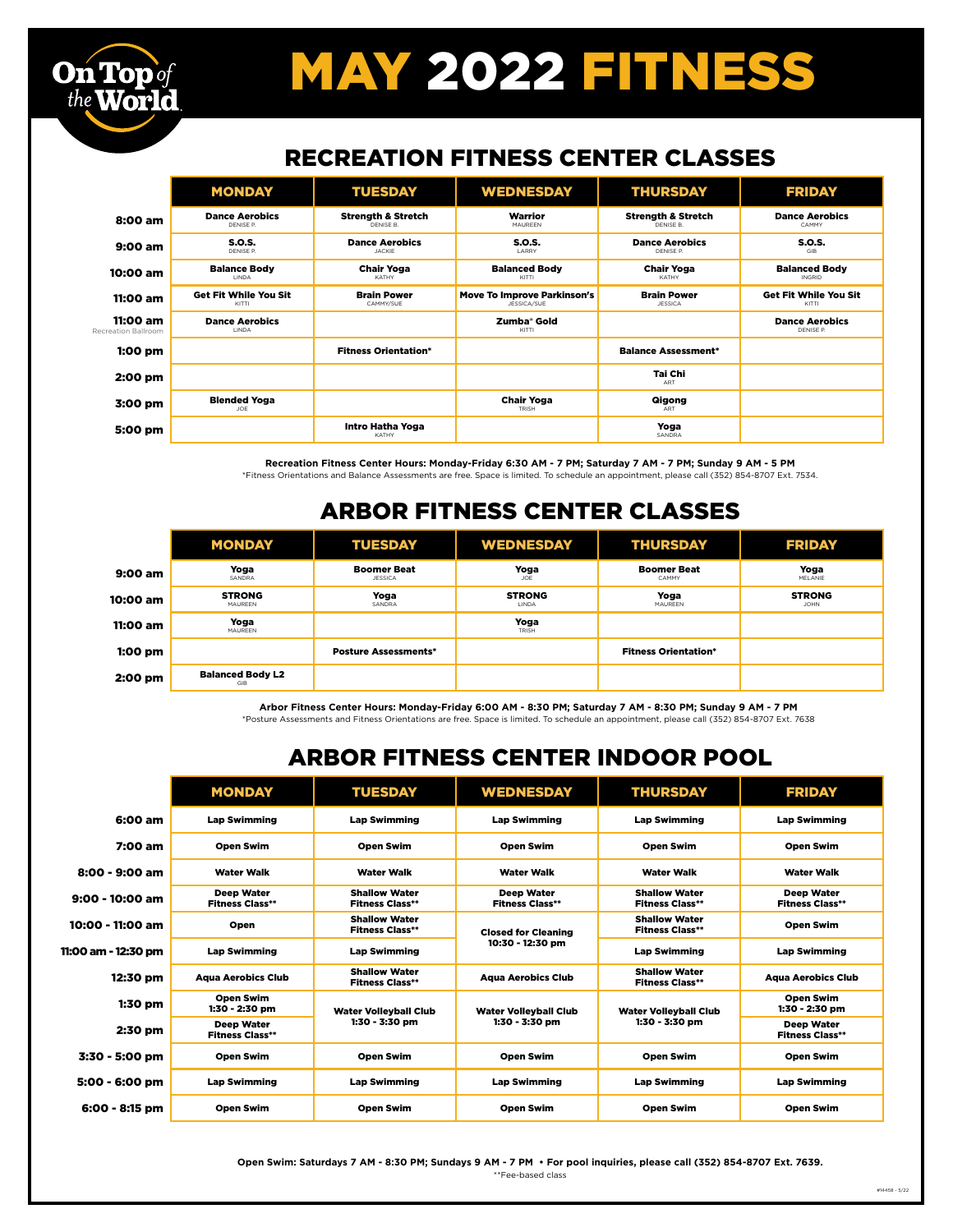# MAY 2022 FITNESS

#### RECREATION FITNESS CENTER CLASSES

|                              | <b>MONDAY</b>                         | <b>TUESDAY</b>                             | <b>WEDNESDAY</b>                                  | <b>THURSDAY</b>                            | <b>FRIDAY</b>                         |
|------------------------------|---------------------------------------|--------------------------------------------|---------------------------------------------------|--------------------------------------------|---------------------------------------|
| 8:00 am                      | <b>Dance Aerobics</b><br>DENISE P.    | <b>Strength &amp; Stretch</b><br>DENISE B. | Warrior<br>MAUREEN                                | <b>Strength &amp; Stretch</b><br>DENISE B. | <b>Dance Aerobics</b><br>CAMMY        |
| 9:00 am                      | S.O.S.<br>DENISE P.                   | <b>Dance Aerobics</b><br><b>JACKIE</b>     | <b>S.O.S.</b><br><b>LARRY</b>                     | <b>Dance Aerobics</b><br>DENISE P          | <b>S.O.S.</b><br><b>GIR</b>           |
| 10:00 am                     | <b>Balance Body</b><br>LINDA          | <b>Chair Yoga</b><br>KATHY                 | <b>Balanced Body</b><br>KITTI                     | <b>Chair Yoga</b><br>KATHY                 | <b>Balanced Body</b><br><b>INGRID</b> |
| 11:00 am                     | <b>Get Fit While You Sit</b><br>KITTI | <b>Brain Power</b><br>CAMMY/SUE            | <b>Move To Improve Parkinson's</b><br>JESSICA/SUE | <b>Brain Power</b><br><b>JESSICA</b>       | <b>Get Fit While You Sit</b><br>KITTI |
| 11:00 am<br>reation Ballroom | <b>Dance Aerobics</b><br>LINDA        |                                            | Zumba <sup>®</sup> Gold<br>KITTI                  |                                            | <b>Dance Aerobics</b><br>DENISE P.    |
| $1:00$ pm                    |                                       | <b>Fitness Orientation*</b>                |                                                   | <b>Balance Assessment*</b>                 |                                       |
| 2:00 pm                      |                                       |                                            |                                                   | Tai Chi<br>ART                             |                                       |
| 3:00 pm                      | <b>Blended Yoga</b><br>JOE            |                                            | <b>Chair Yoga</b><br>TRISH                        | Qigong<br>ART                              |                                       |
| 5:00 pm                      |                                       | Intro Hatha Yoga<br>KATHY                  |                                                   | Yoga<br>SANDRA                             |                                       |

Rec

**On Top** of the World

> **Recreation Fitness Center Hours: Monday-Friday 6:30 AM - 7 PM; Saturday 7 AM - 7 PM; Sunday 9 AM - 5 PM** \*Fitness Orientations and Balance Assessments are free. Space is limited. To schedule an appointment, please call (352) 854-8707 Ext. 7534.

### ARBOR FITNESS CENTER CLASSES

|           | <b>MONDAY</b>                  | <b>TUESDAY</b>                       | <b>WEDNESDAY</b>       | <b>THURSDAY</b>             | <b>FRIDAY</b>                |
|-----------|--------------------------------|--------------------------------------|------------------------|-----------------------------|------------------------------|
| 9:00 am   | Yoga<br>SANDRA                 | <b>Boomer Beat</b><br><b>JESSICA</b> | Yoga<br><b>JOE</b>     | <b>Boomer Beat</b><br>CAMMY | Yoga<br><b>MELANIE</b>       |
| 10:00 am  | <b>STRONG</b><br>MAUREEN       | Yoga<br>SANDRA                       | <b>STRONG</b><br>LINDA | Yoga<br>MAUREEN             | <b>STRONG</b><br><b>JOHN</b> |
| 11:00 am  | Yoga<br>MAUREEN                |                                      | Yoga<br>TRISH          |                             |                              |
| $1:00$ pm |                                | <b>Posture Assessments*</b>          |                        | <b>Fitness Orientation*</b> |                              |
| 2:00 pm   | <b>Balanced Body L2</b><br>GIB |                                      |                        |                             |                              |

**Arbor Fitness Center Hours: Monday-Friday 6:00 AM - 8:30 PM; Saturday 7 AM - 8:30 PM; Sunday 9 AM - 7 PM**

\*Posture Assessments and Fitness Orientations are free. Space is limited. To schedule an appointment, please call (352) 854-8707 Ext. 7638

### ARBOR FITNESS CENTER INDOOR POOL

|                     | <b>MONDAY</b>                               | <b>TUESDAY</b>                                 | <b>WEDNESDAY</b>                               | <b>THURSDAY</b>                                | <b>FRIDAY</b>                               |
|---------------------|---------------------------------------------|------------------------------------------------|------------------------------------------------|------------------------------------------------|---------------------------------------------|
| 6:00 am             | <b>Lap Swimming</b>                         | <b>Lap Swimming</b>                            | <b>Lap Swimming</b>                            | <b>Lap Swimming</b>                            | <b>Lap Swimming</b>                         |
| 7:00 am             | <b>Open Swim</b>                            | <b>Open Swim</b>                               | <b>Open Swim</b>                               | <b>Open Swim</b>                               | <b>Open Swim</b>                            |
| 8:00 - 9:00 am      | <b>Water Walk</b>                           | <b>Water Walk</b>                              | <b>Water Walk</b>                              | <b>Water Walk</b>                              | <b>Water Walk</b>                           |
| $9:00 - 10:00$ am   | Deep Water<br><b>Fitness Class**</b>        | <b>Shallow Water</b><br><b>Fitness Class**</b> | <b>Deep Water</b><br><b>Fitness Class**</b>    | <b>Shallow Water</b><br><b>Fitness Class**</b> | <b>Deep Water</b><br><b>Fitness Class**</b> |
| 10:00 - 11:00 am    | Open                                        | <b>Shallow Water</b><br><b>Fitness Class**</b> | <b>Closed for Cleaning</b><br>10:30 - 12:30 pm | <b>Shallow Water</b><br><b>Fitness Class**</b> | <b>Open Swim</b>                            |
| 11:00 am - 12:30 pm | <b>Lap Swimming</b>                         | <b>Lap Swimming</b>                            |                                                | <b>Lap Swimming</b>                            | <b>Lap Swimming</b>                         |
| 12:30 pm            | <b>Agua Aerobics Club</b>                   | <b>Shallow Water</b><br><b>Fitness Class**</b> | <b>Agua Aerobics Club</b>                      | <b>Shallow Water</b><br><b>Fitness Class**</b> | <b>Agua Aerobics Club</b>                   |
| $1:30$ pm           | <b>Open Swim</b><br>1:30 - 2:30 pm          | <b>Water Vollevball Club</b><br>1:30 - 3:30 pm | <b>Water Vollevball Club</b><br>1:30 - 3:30 pm | <b>Water Volleyball Club</b><br>1:30 - 3:30 pm | <b>Open Swim</b><br>1:30 - 2:30 pm          |
| 2:30 pm             | <b>Deep Water</b><br><b>Fitness Class**</b> |                                                |                                                |                                                | <b>Deep Water</b><br><b>Fitness Class**</b> |
| 3:30 - 5:00 pm      | <b>Open Swim</b>                            | <b>Open Swim</b>                               | <b>Open Swim</b>                               | <b>Open Swim</b>                               | <b>Open Swim</b>                            |
| 5:00 - 6:00 pm      | <b>Lap Swimming</b>                         | <b>Lap Swimming</b>                            | <b>Lap Swimming</b>                            | <b>Lap Swimming</b>                            | <b>Lap Swimming</b>                         |
| 6:00 - 8:15 pm      | <b>Open Swim</b>                            | <b>Open Swim</b>                               | <b>Open Swim</b>                               | <b>Open Swim</b>                               | <b>Open Swim</b>                            |

**Open Swim: Saturdays 7 AM - 8:30 PM; Sundays 9 AM - 7 PM • For pool inquiries, please call (352) 854-8707 Ext. 7639.**  \*\*Fee-based class